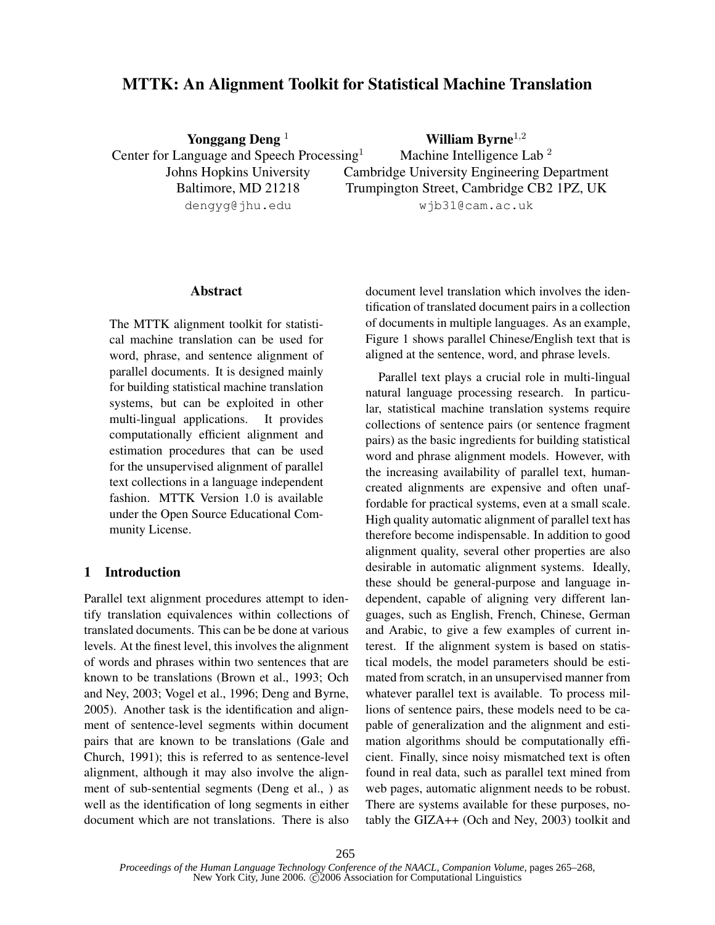# MTTK: An Alignment Toolkit for Statistical Machine Translation

Yonggang Deng<sup>1</sup> Center for Language and Speech Processing<sup>1</sup> Johns Hopkins University Baltimore, MD 21218 dengyg@jhu.edu

William Byrne $^{1,2}$ Machine Intelligence Lab<sup>2</sup> Cambridge University Engineering Department Trumpington Street, Cambridge CB2 1PZ, UK wjb31@cam.ac.uk

### Abstract

The MTTK alignment toolkit for statistical machine translation can be used for word, phrase, and sentence alignment of parallel documents. It is designed mainly for building statistical machine translation systems, but can be exploited in other multi-lingual applications. It provides computationally efficient alignment and estimation procedures that can be used for the unsupervised alignment of parallel text collections in a language independent fashion. MTTK Version 1.0 is available under the Open Source Educational Community License.

## 1 Introduction

Parallel text alignment procedures attempt to identify translation equivalences within collections of translated documents. This can be be done at various levels. At the finest level, this involves the alignment of words and phrases within two sentences that are known to be translations (Brown et al., 1993; Och and Ney, 2003; Vogel et al., 1996; Deng and Byrne, 2005). Another task is the identification and alignment of sentence-level segments within document pairs that are known to be translations (Gale and Church, 1991); this is referred to as sentence-level alignment, although it may also involve the alignment of sub-sentential segments (Deng et al., ) as well as the identification of long segments in either document which are not translations. There is also document level translation which involves the identification of translated document pairs in a collection of documents in multiple languages. As an example, Figure 1 shows parallel Chinese/English text that is aligned at the sentence, word, and phrase levels.

Parallel text plays a crucial role in multi-lingual natural language processing research. In particular, statistical machine translation systems require collections of sentence pairs (or sentence fragment pairs) as the basic ingredients for building statistical word and phrase alignment models. However, with the increasing availability of parallel text, humancreated alignments are expensive and often unaffordable for practical systems, even at a small scale. High quality automatic alignment of parallel text has therefore become indispensable. In addition to good alignment quality, several other properties are also desirable in automatic alignment systems. Ideally, these should be general-purpose and language independent, capable of aligning very different languages, such as English, French, Chinese, German and Arabic, to give a few examples of current interest. If the alignment system is based on statistical models, the model parameters should be estimated from scratch, in an unsupervised manner from whatever parallel text is available. To process millions of sentence pairs, these models need to be capable of generalization and the alignment and estimation algorithms should be computationally efficient. Finally, since noisy mismatched text is often found in real data, such as parallel text mined from web pages, automatic alignment needs to be robust. There are systems available for these purposes, notably the GIZA++ (Och and Ney, 2003) toolkit and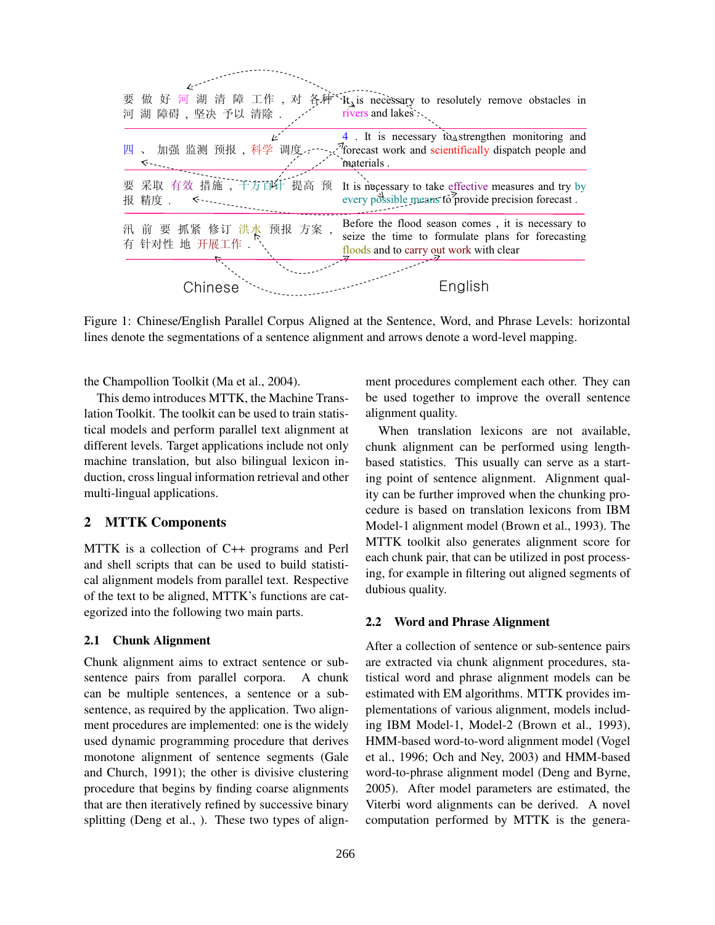

Figure 1: Chinese/English Parallel Corpus Aligned at the Sentence, Word, and Phrase Levels: horizontal lines denote the segmentations of a sentence alignment and arrows denote a word-level mapping.

the Champollion Toolkit (Ma et al., 2004).

This demo introduces MTTK, the Machine Translation Toolkit. The toolkit can be used to train statistical models and perform parallel text alignment at different levels. Target applications include not only machine translation, but also bilingual lexicon induction, cross lingual information retrieval and other multi-lingual applications.

### 2 MTTK Components

MTTK is a collection of C++ programs and Perl and shell scripts that can be used to build statistical alignment models from parallel text. Respective of the text to be aligned, MTTK's functions are categorized into the following two main parts.

#### 2.1 Chunk Alignment

Chunk alignment aims to extract sentence or subsentence pairs from parallel corpora. A chunk can be multiple sentences, a sentence or a subsentence, as required by the application. Two alignment procedures are implemented: one is the widely used dynamic programming procedure that derives monotone alignment of sentence segments (Gale and Church, 1991); the other is divisive clustering procedure that begins by finding coarse alignments that are then iteratively refined by successive binary splitting (Deng et al., ). These two types of alignment procedures complement each other. They can be used together to improve the overall sentence alignment quality.

When translation lexicons are not available, chunk alignment can be performed using lengthbased statistics. This usually can serve as a starting point of sentence alignment. Alignment quality can be further improved when the chunking procedure is based on translation lexicons from IBM Model-1 alignment model (Brown et al., 1993). The MTTK toolkit also generates alignment score for each chunk pair, that can be utilized in post processing, for example in filtering out aligned segments of dubious quality.

#### 2.2 Word and Phrase Alignment

After a collection of sentence or sub-sentence pairs are extracted via chunk alignment procedures, statistical word and phrase alignment models can be estimated with EM algorithms. MTTK provides implementations of various alignment, models including IBM Model-1, Model-2 (Brown et al., 1993), HMM-based word-to-word alignment model (Vogel et al., 1996; Och and Ney, 2003) and HMM-based word-to-phrase alignment model (Deng and Byrne, 2005). After model parameters are estimated, the Viterbi word alignments can be derived. A novel computation performed by MTTK is the genera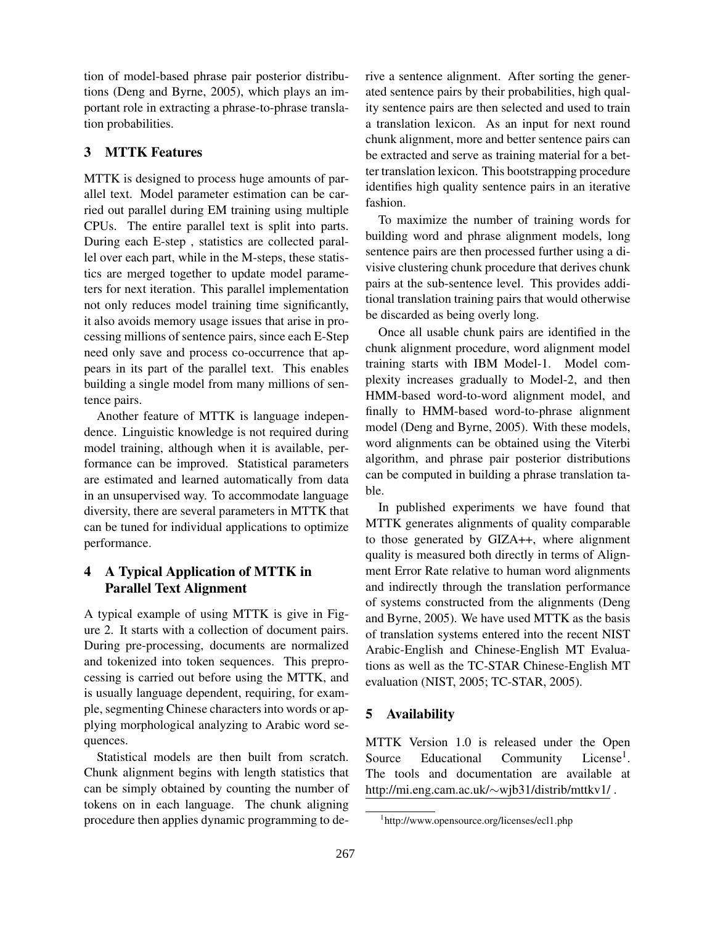tion of model-based phrase pair posterior distributions (Deng and Byrne, 2005), which plays an important role in extracting a phrase-to-phrase translation probabilities.

## 3 MTTK Features

MTTK is designed to process huge amounts of parallel text. Model parameter estimation can be carried out parallel during EM training using multiple CPUs. The entire parallel text is split into parts. During each E-step , statistics are collected parallel over each part, while in the M-steps, these statistics are merged together to update model parameters for next iteration. This parallel implementation not only reduces model training time significantly, it also avoids memory usage issues that arise in processing millions of sentence pairs, since each E-Step need only save and process co-occurrence that appears in its part of the parallel text. This enables building a single model from many millions of sentence pairs.

Another feature of MTTK is language independence. Linguistic knowledge is not required during model training, although when it is available, performance can be improved. Statistical parameters are estimated and learned automatically from data in an unsupervised way. To accommodate language diversity, there are several parameters in MTTK that can be tuned for individual applications to optimize performance.

# 4 A Typical Application of MTTK in Parallel Text Alignment

A typical example of using MTTK is give in Figure 2. It starts with a collection of document pairs. During pre-processing, documents are normalized and tokenized into token sequences. This preprocessing is carried out before using the MTTK, and is usually language dependent, requiring, for example, segmenting Chinese characters into words or applying morphological analyzing to Arabic word sequences.

Statistical models are then built from scratch. Chunk alignment begins with length statistics that can be simply obtained by counting the number of tokens on in each language. The chunk aligning procedure then applies dynamic programming to derive a sentence alignment. After sorting the generated sentence pairs by their probabilities, high quality sentence pairs are then selected and used to train a translation lexicon. As an input for next round chunk alignment, more and better sentence pairs can be extracted and serve as training material for a better translation lexicon. This bootstrapping procedure identifies high quality sentence pairs in an iterative fashion.

To maximize the number of training words for building word and phrase alignment models, long sentence pairs are then processed further using a divisive clustering chunk procedure that derives chunk pairs at the sub-sentence level. This provides additional translation training pairs that would otherwise be discarded as being overly long.

Once all usable chunk pairs are identified in the chunk alignment procedure, word alignment model training starts with IBM Model-1. Model complexity increases gradually to Model-2, and then HMM-based word-to-word alignment model, and finally to HMM-based word-to-phrase alignment model (Deng and Byrne, 2005). With these models, word alignments can be obtained using the Viterbi algorithm, and phrase pair posterior distributions can be computed in building a phrase translation table.

In published experiments we have found that MTTK generates alignments of quality comparable to those generated by GIZA++, where alignment quality is measured both directly in terms of Alignment Error Rate relative to human word alignments and indirectly through the translation performance of systems constructed from the alignments (Deng and Byrne, 2005). We have used MTTK as the basis of translation systems entered into the recent NIST Arabic-English and Chinese-English MT Evaluations as well as the TC-STAR Chinese-English MT evaluation (NIST, 2005; TC-STAR, 2005).

# 5 Availability

MTTK Version 1.0 is released under the Open Source Educational Community License<sup>1</sup>. The tools and documentation are available at http://mi.eng.cam.ac.uk/∼wjb31/distrib/mttkv1/ .

<sup>1</sup> http://www.opensource.org/licenses/ecl1.php